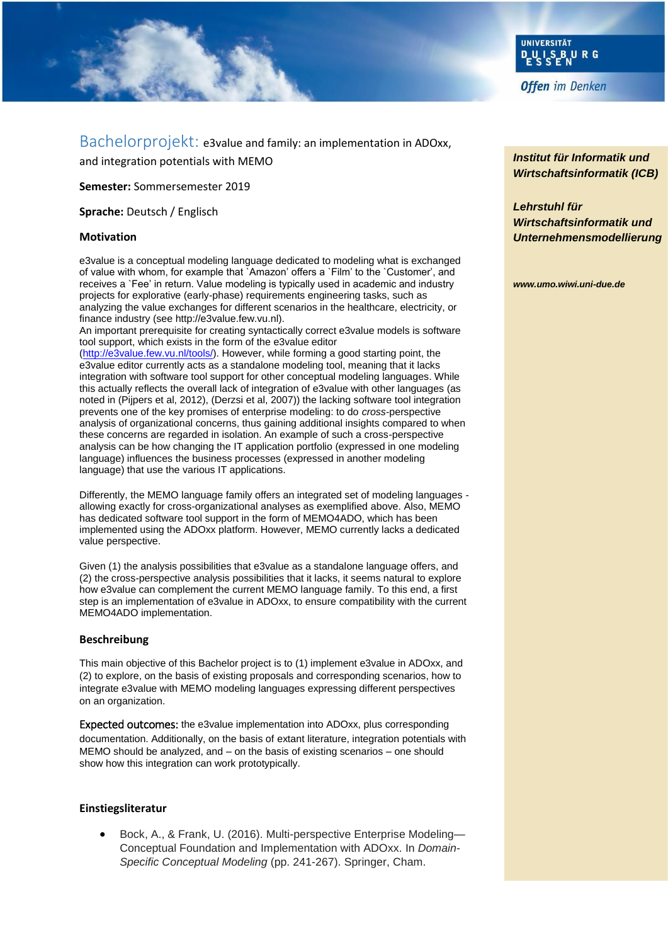

Bachelorprojekt: e3value and family: an implementation in ADOxx, and integration potentials with MEMO

**Semester:** Sommersemester 2019

**Sprache:** Deutsch / Englisch

### **Motivation**

e3value is a conceptual modeling language dedicated to modeling what is exchanged of value with whom, for example that `Amazon' offers a `Film' to the `Customer', and receives a `Fee' in return. Value modeling is typically used in academic and industry projects for explorative (early-phase) requirements engineering tasks, such as analyzing the value exchanges for different scenarios in the healthcare, electricity, or finance industry (see http://e3value.few.vu.nl).

An important prerequisite for creating syntactically correct e3value models is software tool support, which exists in the form of the e3value editor

[\(http://e3value.few.vu.nl/tools/\)](http://e3value.few.vu.nl/tools/). However, while forming a good starting point, the e3value editor currently acts as a standalone modeling tool, meaning that it lacks integration with software tool support for other conceptual modeling languages. While this actually reflects the overall lack of integration of e3value with other languages (as noted in (Pijpers et al, 2012), (Derzsi et al, 2007)) the lacking software tool integration prevents one of the key promises of enterprise modeling: to do *cross*-perspective analysis of organizational concerns, thus gaining additional insights compared to when these concerns are regarded in isolation. An example of such a cross-perspective analysis can be how changing the IT application portfolio (expressed in one modeling language) influences the business processes (expressed in another modeling language) that use the various IT applications.

Differently, the MEMO language family offers an integrated set of modeling languages allowing exactly for cross-organizational analyses as exemplified above. Also, MEMO has dedicated software tool support in the form of MEMO4ADO, which has been implemented using the ADOxx platform. However, MEMO currently lacks a dedicated value perspective.

Given (1) the analysis possibilities that e3value as a standalone language offers, and (2) the cross-perspective analysis possibilities that it lacks, it seems natural to explore how e3value can complement the current MEMO language family. To this end, a first step is an implementation of e3value in ADOxx, to ensure compatibility with the current MEMO4ADO implementation.

#### **Beschreibung**

This main objective of this Bachelor project is to (1) implement e3value in ADOxx, and (2) to explore, on the basis of existing proposals and corresponding scenarios, how to integrate e3value with MEMO modeling languages expressing different perspectives on an organization.

Expected outcomes: the e3value implementation into ADOxx, plus corresponding documentation. Additionally, on the basis of extant literature, integration potentials with MEMO should be analyzed, and – on the basis of existing scenarios – one should show how this integration can work prototypically.

### **Einstiegsliteratur**

 Bock, A., & Frank, U. (2016). Multi-perspective Enterprise Modeling— Conceptual Foundation and Implementation with ADOxx. In *Domain-Specific Conceptual Modeling* (pp. 241-267). Springer, Cham.

*Institut für Informatik und Wirtschaftsinformatik (ICB)* 

## *Lehrstuhl für Wirtschaftsinformatik und Unternehmensmodellierung*

*www.umo.wiwi.uni-due.de*